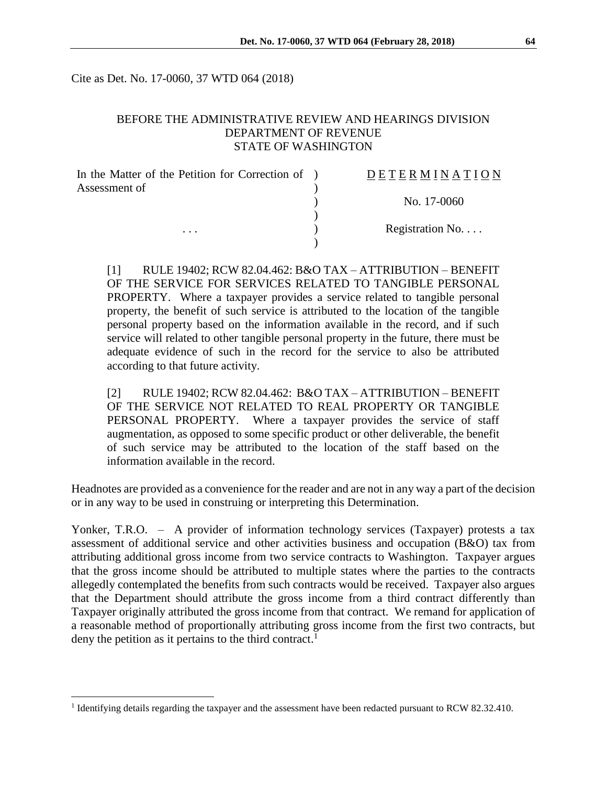Cite as Det. No. 17-0060, 37 WTD 064 (2018)

### BEFORE THE ADMINISTRATIVE REVIEW AND HEARINGS DIVISION DEPARTMENT OF REVENUE STATE OF WASHINGTON

| In the Matter of the Petition for Correction of ) | DETERMINATION    |
|---------------------------------------------------|------------------|
| Assessment of                                     |                  |
| $\cdots$                                          | No. 17-0060      |
|                                                   |                  |
|                                                   | Registration No. |
|                                                   |                  |

[1] RULE 19402; RCW 82.04.462: B&O TAX – ATTRIBUTION – BENEFIT OF THE SERVICE FOR SERVICES RELATED TO TANGIBLE PERSONAL PROPERTY. Where a taxpayer provides a service related to tangible personal property, the benefit of such service is attributed to the location of the tangible personal property based on the information available in the record, and if such service will related to other tangible personal property in the future, there must be adequate evidence of such in the record for the service to also be attributed according to that future activity.

[2] RULE 19402; RCW 82.04.462: B&O TAX – ATTRIBUTION – BENEFIT OF THE SERVICE NOT RELATED TO REAL PROPERTY OR TANGIBLE PERSONAL PROPERTY. Where a taxpayer provides the service of staff augmentation, as opposed to some specific product or other deliverable, the benefit of such service may be attributed to the location of the staff based on the information available in the record.

Headnotes are provided as a convenience for the reader and are not in any way a part of the decision or in any way to be used in construing or interpreting this Determination.

Yonker, T.R.O. – A provider of information technology services (Taxpayer) protests a tax assessment of additional service and other activities business and occupation (B&O) tax from attributing additional gross income from two service contracts to Washington. Taxpayer argues that the gross income should be attributed to multiple states where the parties to the contracts allegedly contemplated the benefits from such contracts would be received. Taxpayer also argues that the Department should attribute the gross income from a third contract differently than Taxpayer originally attributed the gross income from that contract. We remand for application of a reasonable method of proportionally attributing gross income from the first two contracts, but deny the petition as it pertains to the third contract.<sup>1</sup>

 $\overline{a}$ 

<sup>&</sup>lt;sup>1</sup> Identifying details regarding the taxpayer and the assessment have been redacted pursuant to RCW 82.32.410.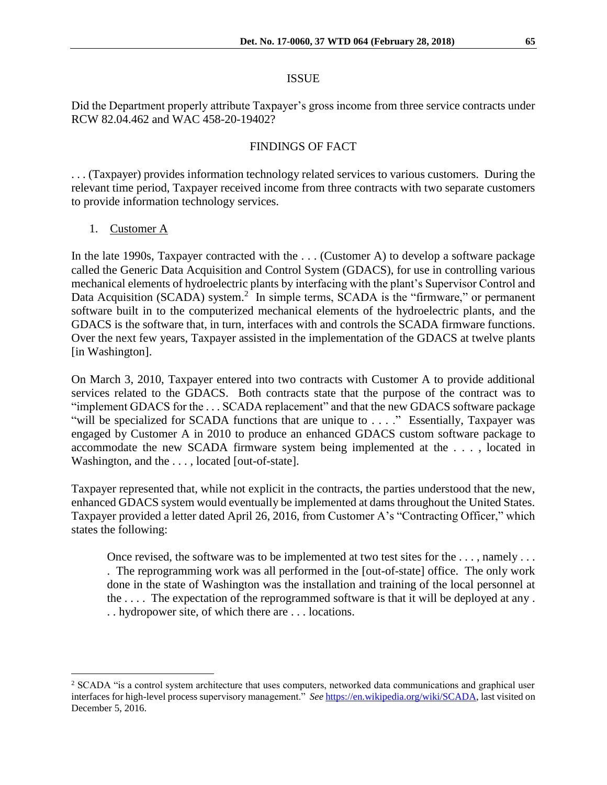#### ISSUE

Did the Department properly attribute Taxpayer's gross income from three service contracts under RCW 82.04.462 and WAC 458-20-19402?

### FINDINGS OF FACT

. . . (Taxpayer) provides information technology related services to various customers. During the relevant time period, Taxpayer received income from three contracts with two separate customers to provide information technology services.

#### 1. Customer A

 $\overline{a}$ 

In the late 1990s, Taxpayer contracted with the . . . (Customer A) to develop a software package called the Generic Data Acquisition and Control System (GDACS), for use in controlling various mechanical elements of hydroelectric plants by interfacing with the plant's Supervisor Control and Data Acquisition (SCADA) system.<sup>2</sup> In simple terms, SCADA is the "firmware," or permanent software built in to the computerized mechanical elements of the hydroelectric plants, and the GDACS is the software that, in turn, interfaces with and controls the SCADA firmware functions. Over the next few years, Taxpayer assisted in the implementation of the GDACS at twelve plants [in Washington].

On March 3, 2010, Taxpayer entered into two contracts with Customer A to provide additional services related to the GDACS. Both contracts state that the purpose of the contract was to "implement GDACS for the . . . SCADA replacement" and that the new GDACS software package "will be specialized for SCADA functions that are unique to . . . ." Essentially, Taxpayer was engaged by Customer A in 2010 to produce an enhanced GDACS custom software package to accommodate the new SCADA firmware system being implemented at the . . . , located in Washington, and the ..., located [out-of-state].

Taxpayer represented that, while not explicit in the contracts, the parties understood that the new, enhanced GDACS system would eventually be implemented at dams throughout the United States. Taxpayer provided a letter dated April 26, 2016, from Customer A's "Contracting Officer," which states the following:

Once revised, the software was to be implemented at two test sites for the . . . , namely . . . . The reprogramming work was all performed in the [out-of-state] office. The only work done in the state of Washington was the installation and training of the local personnel at the . . . . The expectation of the reprogrammed software is that it will be deployed at any . . . hydropower site, of which there are . . . locations.

<sup>&</sup>lt;sup>2</sup> SCADA "is a control system architecture that uses computers, networked data communications and graphical user interfaces for high-level process supervisory management." *See* [https://en.wikipedia.org/wiki/SCADA,](https://en.wikipedia.org/wiki/SCADA) last visited on December 5, 2016.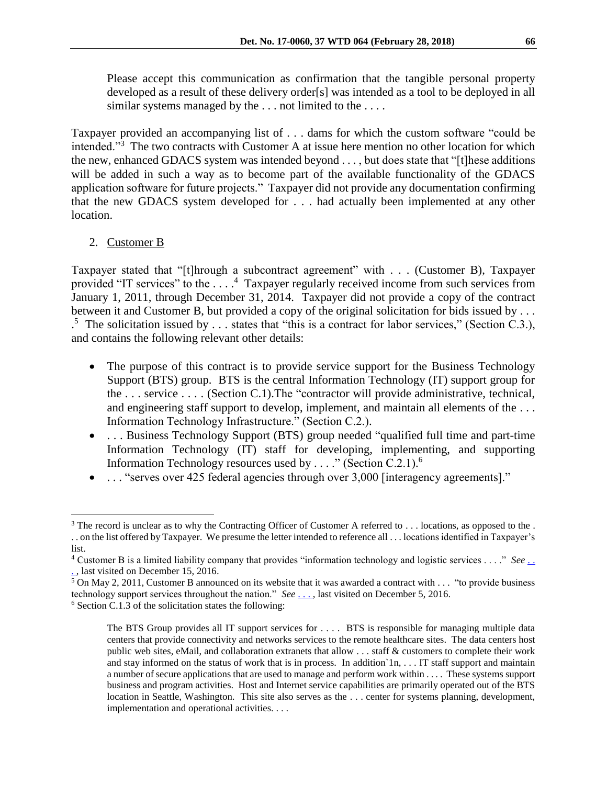Please accept this communication as confirmation that the tangible personal property developed as a result of these delivery order[s] was intended as a tool to be deployed in all similar systems managed by the ... not limited to the ....

Taxpayer provided an accompanying list of . . . dams for which the custom software "could be intended."<sup>3</sup> The two contracts with Customer A at issue here mention no other location for which the new, enhanced GDACS system was intended beyond . . . , but does state that "[t]hese additions will be added in such a way as to become part of the available functionality of the GDACS application software for future projects." Taxpayer did not provide any documentation confirming that the new GDACS system developed for . . . had actually been implemented at any other location.

### 2. Customer B

 $\overline{a}$ 

Taxpayer stated that "[t]hrough a subcontract agreement" with . . . (Customer B), Taxpayer provided "IT services" to the ....<sup>4</sup> Taxpayer regularly received income from such services from January 1, 2011, through December 31, 2014. Taxpayer did not provide a copy of the contract between it and Customer B, but provided a copy of the original solicitation for bids issued by . . .  $\frac{5}{10}$ . The solicitation issued by ... states that "this is a contract for labor services," (Section C.3.), and contains the following relevant other details:

- The purpose of this contract is to provide service support for the Business Technology Support (BTS) group. BTS is the central Information Technology (IT) support group for the . . . service . . . . (Section C.1).The "contractor will provide administrative, technical, and engineering staff support to develop, implement, and maintain all elements of the . . . Information Technology Infrastructure." (Section C.2.).
- . . . Business Technology Support (BTS) group needed "qualified full time and part-time Information Technology (IT) staff for developing, implementing, and supporting Information Technology resources used by . . . ." (Section C.2.1).<sup>6</sup>
- . . . "serves over 425 federal agencies through over 3,000 [interagency agreements]."

<sup>&</sup>lt;sup>3</sup> The record is unclear as to why the Contracting Officer of Customer A referred to . . . locations, as opposed to the . . . on the list offered by Taxpayer. We presume the letter intended to reference all . . . locations identified in Taxpayer's list.

<sup>4</sup> Customer B is a limited liability company that provides "information technology and logistic services . . . ." *See* [.](http://www.powtec.com/) . .., last visited on December 15, 2016.

<sup>&</sup>lt;sup>5</sup> On May 2, 2011, Customer B announced on its website that it was awarded a contract with . . . "to provide business technology support services throughout the nation." *Se[e](http://www.powtecllc.com/upload/Press%20Releases/POWTEC%20Team%20Awarded%20Prime%20Contract%20with%20the%20Department%20of%20Health%20and%20Human%20Services.pdf)* . . . , last visited on December 5, 2016.

<sup>6</sup> Section C.1.3 of the solicitation states the following:

The BTS Group provides all IT support services for . . . . BTS is responsible for managing multiple data centers that provide connectivity and networks services to the remote healthcare sites. The data centers host public web sites, eMail, and collaboration extranets that allow . . . staff & customers to complete their work and stay informed on the status of work that is in process. In addition`1n, . . . IT staff support and maintain a number of secure applications that are used to manage and perform work within . . . . These systems support business and program activities. Host and Internet service capabilities are primarily operated out of the BTS location in Seattle, Washington. This site also serves as the . . . center for systems planning, development, implementation and operational activities. . . .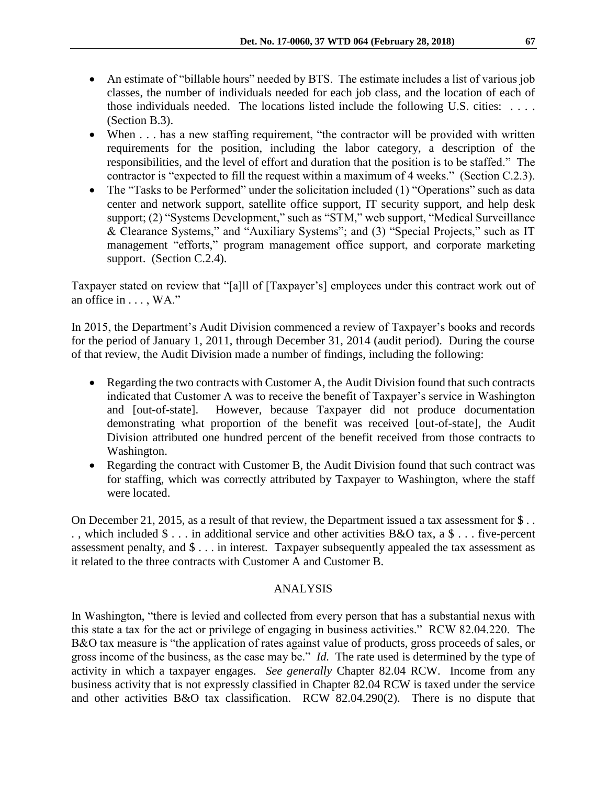- An estimate of "billable hours" needed by BTS. The estimate includes a list of various job classes, the number of individuals needed for each job class, and the location of each of those individuals needed. The locations listed include the following U.S. cities: . . . . (Section B.3).
- When . . . has a new staffing requirement, "the contractor will be provided with written requirements for the position, including the labor category, a description of the responsibilities, and the level of effort and duration that the position is to be staffed." The contractor is "expected to fill the request within a maximum of 4 weeks." (Section C.2.3).
- The "Tasks to be Performed" under the solicitation included (1) "Operations" such as data center and network support, satellite office support, IT security support, and help desk support; (2) "Systems Development," such as "STM," web support, "Medical Surveillance & Clearance Systems," and "Auxiliary Systems"; and (3) "Special Projects," such as IT management "efforts," program management office support, and corporate marketing support. (Section C.2.4).

Taxpayer stated on review that "[a]ll of [Taxpayer's] employees under this contract work out of an office in . . . , WA."

In 2015, the Department's Audit Division commenced a review of Taxpayer's books and records for the period of January 1, 2011, through December 31, 2014 (audit period). During the course of that review, the Audit Division made a number of findings, including the following:

- Regarding the two contracts with Customer A, the Audit Division found that such contracts indicated that Customer A was to receive the benefit of Taxpayer's service in Washington and [out-of-state]. However, because Taxpayer did not produce documentation demonstrating what proportion of the benefit was received [out-of-state], the Audit Division attributed one hundred percent of the benefit received from those contracts to Washington.
- Regarding the contract with Customer B, the Audit Division found that such contract was for staffing, which was correctly attributed by Taxpayer to Washington, where the staff were located.

On December 21, 2015, as a result of that review, the Department issued a tax assessment for \$ . . . , which included \$ . . . in additional service and other activities B&O tax, a \$ . . . five-percent assessment penalty, and \$ . . . in interest. Taxpayer subsequently appealed the tax assessment as it related to the three contracts with Customer A and Customer B.

### ANALYSIS

In Washington, "there is levied and collected from every person that has a substantial nexus with this state a tax for the act or privilege of engaging in business activities." RCW 82.04.220. The B&O tax measure is "the application of rates against value of products, gross proceeds of sales, or gross income of the business, as the case may be." *Id.* The rate used is determined by the type of activity in which a taxpayer engages. *See generally* Chapter 82.04 RCW. Income from any business activity that is not expressly classified in Chapter 82.04 RCW is taxed under the service and other activities B&O tax classification. RCW 82.04.290(2). There is no dispute that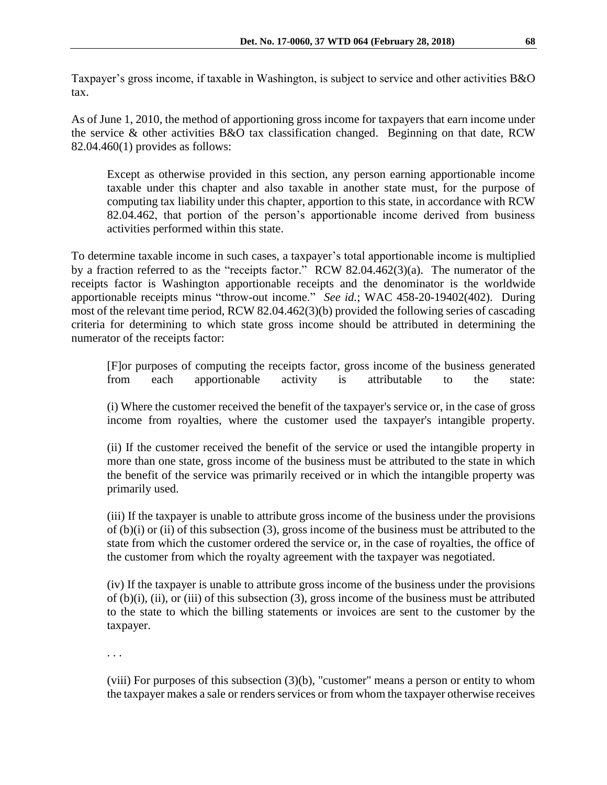Taxpayer's gross income, if taxable in Washington, is subject to service and other activities B&O tax.

As of June 1, 2010, the method of apportioning gross income for taxpayers that earn income under the service & other activities B&O tax classification changed. Beginning on that date, RCW 82.04.460(1) provides as follows:

Except as otherwise provided in this section, any person earning apportionable income taxable under this chapter and also taxable in another state must, for the purpose of computing tax liability under this chapter, apportion to this state, in accordance with RCW [82.04.462,](http://apps.leg.wa.gov/rcw/default.aspx?cite=82.04.462) that portion of the person's apportionable income derived from business activities performed within this state.

To determine taxable income in such cases, a taxpayer's total apportionable income is multiplied by a fraction referred to as the "receipts factor." RCW 82.04.462(3)(a). The numerator of the receipts factor is Washington apportionable receipts and the denominator is the worldwide apportionable receipts minus "throw-out income." *See id.*; WAC 458-20-19402(402). During most of the relevant time period, RCW 82.04.462(3)(b) provided the following series of cascading criteria for determining to which state gross income should be attributed in determining the numerator of the receipts factor:

[F]or purposes of computing the receipts factor, gross income of the business generated from each apportionable activity is attributable to the state:

(i) Where the customer received the benefit of the taxpayer's service or, in the case of gross income from royalties, where the customer used the taxpayer's intangible property.

(ii) If the customer received the benefit of the service or used the intangible property in more than one state, gross income of the business must be attributed to the state in which the benefit of the service was primarily received or in which the intangible property was primarily used.

(iii) If the taxpayer is unable to attribute gross income of the business under the provisions of (b)(i) or (ii) of this subsection (3), gross income of the business must be attributed to the state from which the customer ordered the service or, in the case of royalties, the office of the customer from which the royalty agreement with the taxpayer was negotiated.

(iv) If the taxpayer is unable to attribute gross income of the business under the provisions of  $(b)(i)$ ,  $(ii)$ , or  $(iii)$  of this subsection  $(3)$ , gross income of the business must be attributed to the state to which the billing statements or invoices are sent to the customer by the taxpayer.

. . .

(viii) For purposes of this subsection (3)(b), "customer" means a person or entity to whom the taxpayer makes a sale or renders services or from whom the taxpayer otherwise receives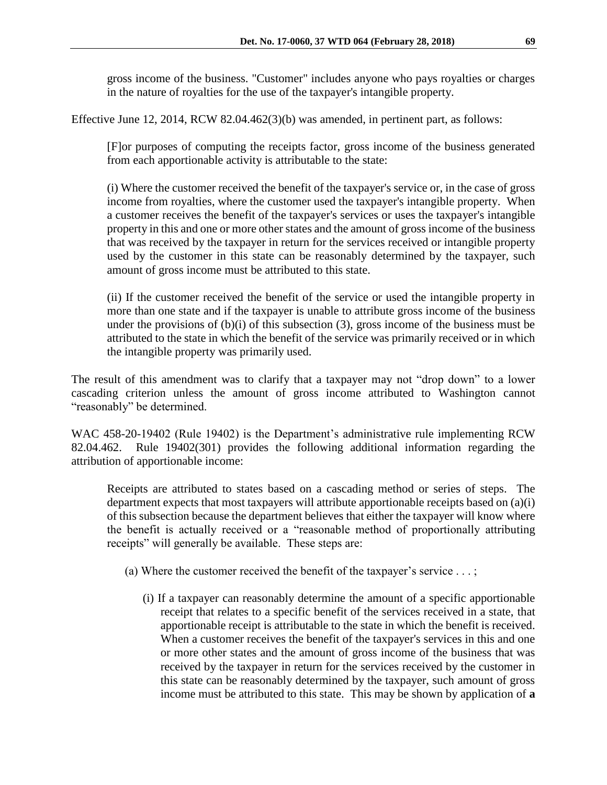gross income of the business. "Customer" includes anyone who pays royalties or charges in the nature of royalties for the use of the taxpayer's intangible property.

Effective June 12, 2014, RCW 82.04.462(3)(b) was amended, in pertinent part, as follows:

[F]or purposes of computing the receipts factor, gross income of the business generated from each apportionable activity is attributable to the state:

(i) Where the customer received the benefit of the taxpayer's service or, in the case of gross income from royalties, where the customer used the taxpayer's intangible property. When a customer receives the benefit of the taxpayer's services or uses the taxpayer's intangible property in this and one or more other states and the amount of gross income of the business that was received by the taxpayer in return for the services received or intangible property used by the customer in this state can be reasonably determined by the taxpayer, such amount of gross income must be attributed to this state.

(ii) If the customer received the benefit of the service or used the intangible property in more than one state and if the taxpayer is unable to attribute gross income of the business under the provisions of (b)(i) of this subsection (3), gross income of the business must be attributed to the state in which the benefit of the service was primarily received or in which the intangible property was primarily used.

The result of this amendment was to clarify that a taxpayer may not "drop down" to a lower cascading criterion unless the amount of gross income attributed to Washington cannot "reasonably" be determined.

WAC 458-20-19402 (Rule 19402) is the Department's administrative rule implementing RCW 82.04.462. Rule 19402(301) provides the following additional information regarding the attribution of apportionable income:

Receipts are attributed to states based on a cascading method or series of steps. The department expects that most taxpayers will attribute apportionable receipts based on (a)(i) of this subsection because the department believes that either the taxpayer will know where the benefit is actually received or a "reasonable method of proportionally attributing receipts" will generally be available. These steps are:

- (a) Where the customer received the benefit of the taxpayer's service . . . ;
	- (i) If a taxpayer can reasonably determine the amount of a specific apportionable receipt that relates to a specific benefit of the services received in a state, that apportionable receipt is attributable to the state in which the benefit is received. When a customer receives the benefit of the taxpayer's services in this and one or more other states and the amount of gross income of the business that was received by the taxpayer in return for the services received by the customer in this state can be reasonably determined by the taxpayer, such amount of gross income must be attributed to this state. This may be shown by application of **a**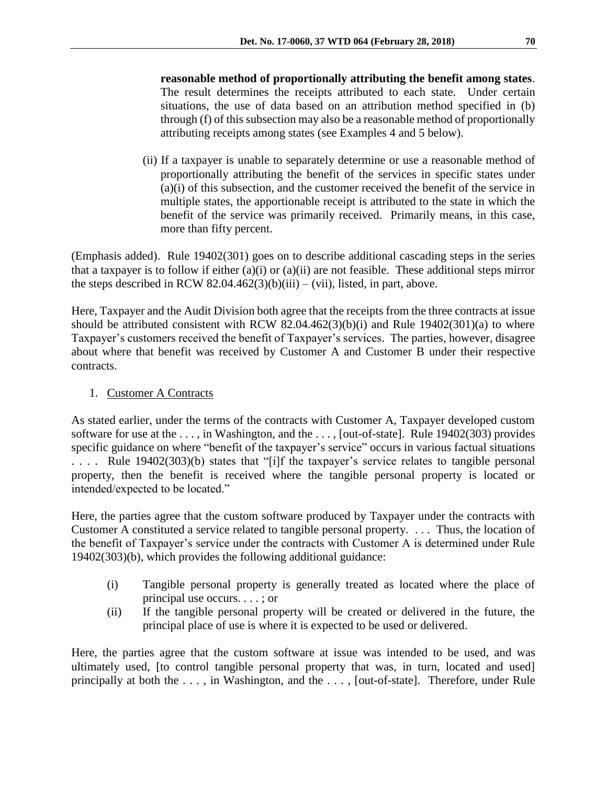**reasonable method of proportionally attributing the benefit among states**. The result determines the receipts attributed to each state. Under certain situations, the use of data based on an attribution method specified in (b) through (f) of this subsection may also be a reasonable method of proportionally attributing receipts among states (see Examples 4 and 5 below).

(ii) If a taxpayer is unable to separately determine or use a reasonable method of proportionally attributing the benefit of the services in specific states under (a)(i) of this subsection, and the customer received the benefit of the service in multiple states, the apportionable receipt is attributed to the state in which the benefit of the service was primarily received. Primarily means, in this case, more than fifty percent.

(Emphasis added). Rule 19402(301) goes on to describe additional cascading steps in the series that a taxpayer is to follow if either (a)(i) or (a)(ii) are not feasible. These additional steps mirror the steps described in RCW 82.04.462(3)(b)(iii) – (vii), listed, in part, above.

Here, Taxpayer and the Audit Division both agree that the receipts from the three contracts at issue should be attributed consistent with RCW 82.04.462(3)(b)(i) and Rule 19402(301)(a) to where Taxpayer's customers received the benefit of Taxpayer's services. The parties, however, disagree about where that benefit was received by Customer A and Customer B under their respective contracts.

## 1. Customer A Contracts

As stated earlier, under the terms of the contracts with Customer A, Taxpayer developed custom software for use at the . . . , in Washington, and the . . . , [out-of-state]. Rule 19402(303) provides specific guidance on where "benefit of the taxpayer's service" occurs in various factual situations . . . . Rule 19402(303)(b) states that "[i]f the taxpayer's service relates to tangible personal property, then the benefit is received where the tangible personal property is located or intended/expected to be located."

Here, the parties agree that the custom software produced by Taxpayer under the contracts with Customer A constituted a service related to tangible personal property. . . . Thus, the location of the benefit of Taxpayer's service under the contracts with Customer A is determined under Rule 19402(303)(b), which provides the following additional guidance:

- (i) Tangible personal property is generally treated as located where the place of principal use occurs. . . . ; or
- (ii) If the tangible personal property will be created or delivered in the future, the principal place of use is where it is expected to be used or delivered.

Here, the parties agree that the custom software at issue was intended to be used, and was ultimately used, [to control tangible personal property that was, in turn, located and used] principally at both the . . . , in Washington, and the . . . , [out-of-state]. Therefore, under Rule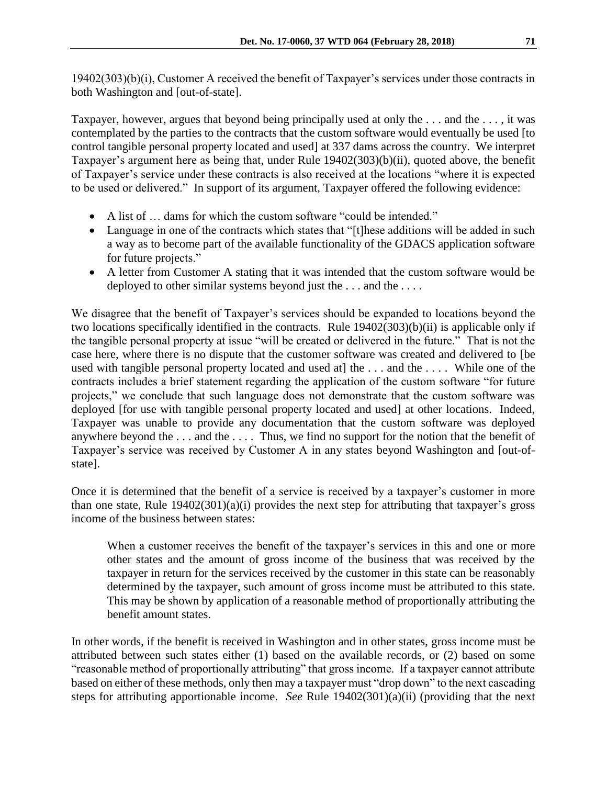19402(303)(b)(i), Customer A received the benefit of Taxpayer's services under those contracts in both Washington and [out-of-state].

Taxpayer, however, argues that beyond being principally used at only the . . . and the . . . , it was contemplated by the parties to the contracts that the custom software would eventually be used [to control tangible personal property located and used] at 337 dams across the country. We interpret Taxpayer's argument here as being that, under Rule 19402(303)(b)(ii), quoted above, the benefit of Taxpayer's service under these contracts is also received at the locations "where it is expected to be used or delivered." In support of its argument, Taxpayer offered the following evidence:

- A list of … dams for which the custom software "could be intended."
- Language in one of the contracts which states that "[t]hese additions will be added in such a way as to become part of the available functionality of the GDACS application software for future projects."
- A letter from Customer A stating that it was intended that the custom software would be deployed to other similar systems beyond just the ... and the ....

We disagree that the benefit of Taxpayer's services should be expanded to locations beyond the two locations specifically identified in the contracts. Rule 19402(303)(b)(ii) is applicable only if the tangible personal property at issue "will be created or delivered in the future." That is not the case here, where there is no dispute that the customer software was created and delivered to [be used with tangible personal property located and used at he ... and the .... While one of the contracts includes a brief statement regarding the application of the custom software "for future projects," we conclude that such language does not demonstrate that the custom software was deployed [for use with tangible personal property located and used] at other locations. Indeed, Taxpayer was unable to provide any documentation that the custom software was deployed anywhere beyond the . . . and the . . . . Thus, we find no support for the notion that the benefit of Taxpayer's service was received by Customer A in any states beyond Washington and [out-ofstate].

Once it is determined that the benefit of a service is received by a taxpayer's customer in more than one state, Rule 19402(301)(a)(i) provides the next step for attributing that taxpayer's gross income of the business between states:

When a customer receives the benefit of the taxpayer's services in this and one or more other states and the amount of gross income of the business that was received by the taxpayer in return for the services received by the customer in this state can be reasonably determined by the taxpayer, such amount of gross income must be attributed to this state. This may be shown by application of a reasonable method of proportionally attributing the benefit amount states.

In other words, if the benefit is received in Washington and in other states, gross income must be attributed between such states either (1) based on the available records, or (2) based on some "reasonable method of proportionally attributing" that gross income. If a taxpayer cannot attribute based on either of these methods, only then may a taxpayer must "drop down" to the next cascading steps for attributing apportionable income. *See* Rule 19402(301)(a)(ii) (providing that the next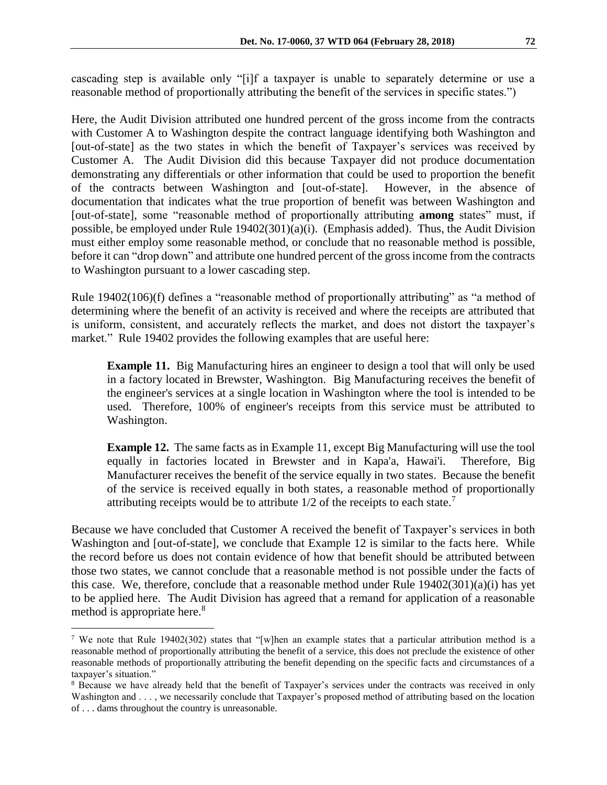cascading step is available only "[i]f a taxpayer is unable to separately determine or use a reasonable method of proportionally attributing the benefit of the services in specific states.")

Here, the Audit Division attributed one hundred percent of the gross income from the contracts with Customer A to Washington despite the contract language identifying both Washington and [out-of-state] as the two states in which the benefit of Taxpayer's services was received by Customer A. The Audit Division did this because Taxpayer did not produce documentation demonstrating any differentials or other information that could be used to proportion the benefit of the contracts between Washington and [out-of-state]. However, in the absence of documentation that indicates what the true proportion of benefit was between Washington and [out-of-state], some "reasonable method of proportionally attributing **among** states" must, if possible, be employed under Rule 19402(301)(a)(i). (Emphasis added). Thus, the Audit Division must either employ some reasonable method, or conclude that no reasonable method is possible, before it can "drop down" and attribute one hundred percent of the gross income from the contracts to Washington pursuant to a lower cascading step.

Rule 19402(106)(f) defines a "reasonable method of proportionally attributing" as "a method of determining where the benefit of an activity is received and where the receipts are attributed that is uniform, consistent, and accurately reflects the market, and does not distort the taxpayer's market." Rule 19402 provides the following examples that are useful here:

**Example 11.** Big Manufacturing hires an engineer to design a tool that will only be used in a factory located in Brewster, Washington. Big Manufacturing receives the benefit of the engineer's services at a single location in Washington where the tool is intended to be used. Therefore, 100% of engineer's receipts from this service must be attributed to Washington.

**Example 12.** The same facts as in Example 11, except Big Manufacturing will use the tool equally in factories located in Brewster and in Kapa'a, Hawai'i. Therefore, Big Manufacturer receives the benefit of the service equally in two states. Because the benefit of the service is received equally in both states, a reasonable method of proportionally attributing receipts would be to attribute  $1/2$  of the receipts to each state.<sup>7</sup>

Because we have concluded that Customer A received the benefit of Taxpayer's services in both Washington and [out-of-state], we conclude that Example 12 is similar to the facts here. While the record before us does not contain evidence of how that benefit should be attributed between those two states, we cannot conclude that a reasonable method is not possible under the facts of this case. We, therefore, conclude that a reasonable method under Rule  $19402(301)(a)(i)$  has yet to be applied here. The Audit Division has agreed that a remand for application of a reasonable method is appropriate here.<sup>8</sup>

 $\overline{a}$ 

<sup>7</sup> We note that Rule 19402(302) states that "[w]hen an example states that a particular attribution method is a reasonable method of proportionally attributing the benefit of a service, this does not preclude the existence of other reasonable methods of proportionally attributing the benefit depending on the specific facts and circumstances of a taxpayer's situation."

<sup>8</sup> Because we have already held that the benefit of Taxpayer's services under the contracts was received in only Washington and . . . , we necessarily conclude that Taxpayer's proposed method of attributing based on the location of . . . dams throughout the country is unreasonable.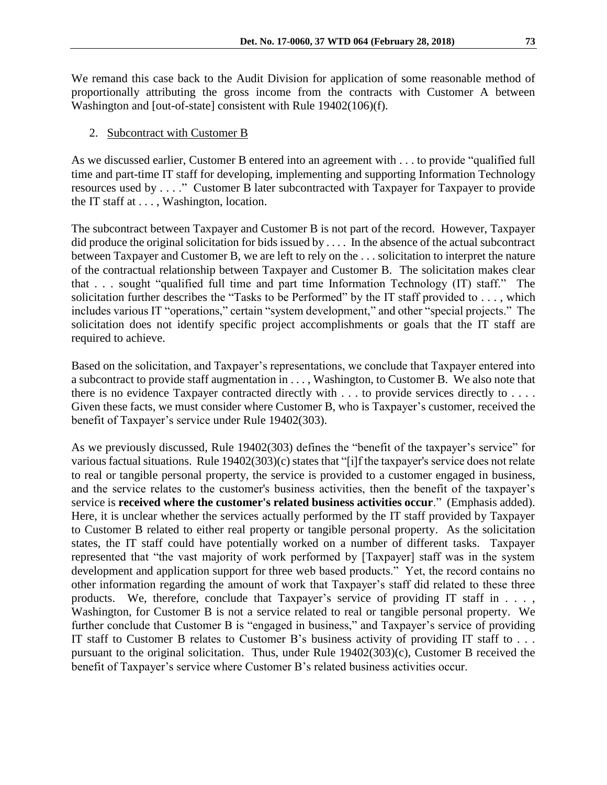We remand this case back to the Audit Division for application of some reasonable method of proportionally attributing the gross income from the contracts with Customer A between Washington and [out-of-state] consistent with Rule 19402(106)(f).

### 2. Subcontract with Customer B

As we discussed earlier, Customer B entered into an agreement with . . . to provide "qualified full time and part-time IT staff for developing, implementing and supporting Information Technology resources used by . . . ." Customer B later subcontracted with Taxpayer for Taxpayer to provide the IT staff at . . . , Washington, location.

The subcontract between Taxpayer and Customer B is not part of the record. However, Taxpayer did produce the original solicitation for bids issued by . . . . In the absence of the actual subcontract between Taxpayer and Customer B, we are left to rely on the . . . solicitation to interpret the nature of the contractual relationship between Taxpayer and Customer B. The solicitation makes clear that . . . sought "qualified full time and part time Information Technology (IT) staff." The solicitation further describes the "Tasks to be Performed" by the IT staff provided to . . . , which includes various IT "operations," certain "system development," and other "special projects." The solicitation does not identify specific project accomplishments or goals that the IT staff are required to achieve.

Based on the solicitation, and Taxpayer's representations, we conclude that Taxpayer entered into a subcontract to provide staff augmentation in . . . , Washington, to Customer B. We also note that there is no evidence Taxpayer contracted directly with . . . to provide services directly to . . . . Given these facts, we must consider where Customer B, who is Taxpayer's customer, received the benefit of Taxpayer's service under Rule 19402(303).

As we previously discussed, Rule 19402(303) defines the "benefit of the taxpayer's service" for various factual situations. Rule 19402(303)(c) states that "[i]f the taxpayer's service does not relate to real or tangible personal property, the service is provided to a customer engaged in business, and the service relates to the customer's business activities, then the benefit of the taxpayer's service is **received where the customer's related business activities occur**." (Emphasis added). Here, it is unclear whether the services actually performed by the IT staff provided by Taxpayer to Customer B related to either real property or tangible personal property. As the solicitation states, the IT staff could have potentially worked on a number of different tasks. Taxpayer represented that "the vast majority of work performed by [Taxpayer] staff was in the system development and application support for three web based products." Yet, the record contains no other information regarding the amount of work that Taxpayer's staff did related to these three products. We, therefore, conclude that Taxpayer's service of providing IT staff in  $\dots$ , Washington, for Customer B is not a service related to real or tangible personal property. We further conclude that Customer B is "engaged in business," and Taxpayer's service of providing IT staff to Customer B relates to Customer B's business activity of providing IT staff to . . . pursuant to the original solicitation. Thus, under Rule 19402(303)(c), Customer B received the benefit of Taxpayer's service where Customer B's related business activities occur.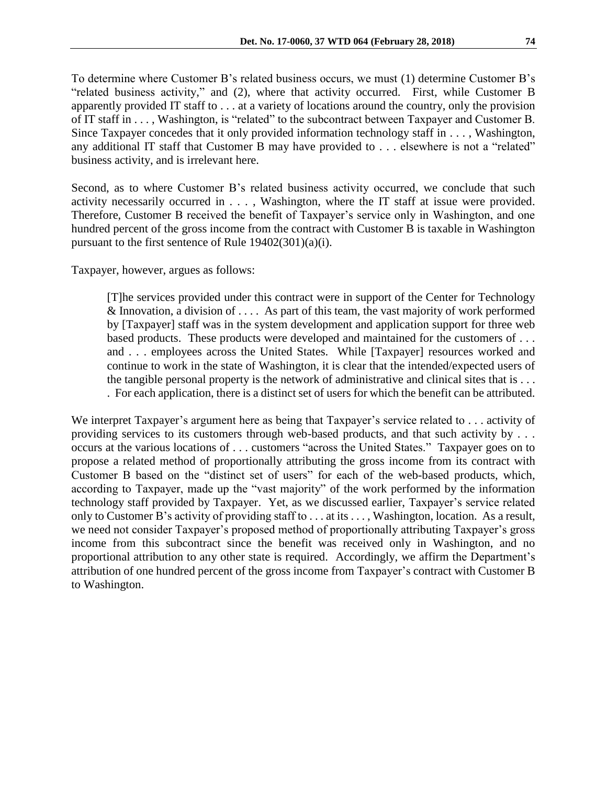To determine where Customer B's related business occurs, we must (1) determine Customer B's "related business activity," and (2), where that activity occurred. First, while Customer B apparently provided IT staff to . . . at a variety of locations around the country, only the provision of IT staff in . . . , Washington, is "related" to the subcontract between Taxpayer and Customer B. Since Taxpayer concedes that it only provided information technology staff in . . . , Washington, any additional IT staff that Customer B may have provided to . . . elsewhere is not a "related" business activity, and is irrelevant here.

Second, as to where Customer B's related business activity occurred, we conclude that such activity necessarily occurred in . . . , Washington, where the IT staff at issue were provided. Therefore, Customer B received the benefit of Taxpayer's service only in Washington, and one hundred percent of the gross income from the contract with Customer B is taxable in Washington pursuant to the first sentence of Rule 19402(301)(a)(i).

Taxpayer, however, argues as follows:

[T]he services provided under this contract were in support of the Center for Technology  $&$  Innovation, a division of .... As part of this team, the vast majority of work performed by [Taxpayer] staff was in the system development and application support for three web based products. These products were developed and maintained for the customers of . . . and . . . employees across the United States. While [Taxpayer] resources worked and continue to work in the state of Washington, it is clear that the intended/expected users of the tangible personal property is the network of administrative and clinical sites that is . . . . For each application, there is a distinct set of users for which the benefit can be attributed.

We interpret Taxpayer's argument here as being that Taxpayer's service related to . . . activity of providing services to its customers through web-based products, and that such activity by . . . occurs at the various locations of . . . customers "across the United States." Taxpayer goes on to propose a related method of proportionally attributing the gross income from its contract with Customer B based on the "distinct set of users" for each of the web-based products, which, according to Taxpayer, made up the "vast majority" of the work performed by the information technology staff provided by Taxpayer. Yet, as we discussed earlier, Taxpayer's service related only to Customer B's activity of providing staff to . . . at its . . . , Washington, location. As a result, we need not consider Taxpayer's proposed method of proportionally attributing Taxpayer's gross income from this subcontract since the benefit was received only in Washington, and no proportional attribution to any other state is required. Accordingly, we affirm the Department's attribution of one hundred percent of the gross income from Taxpayer's contract with Customer B to Washington.